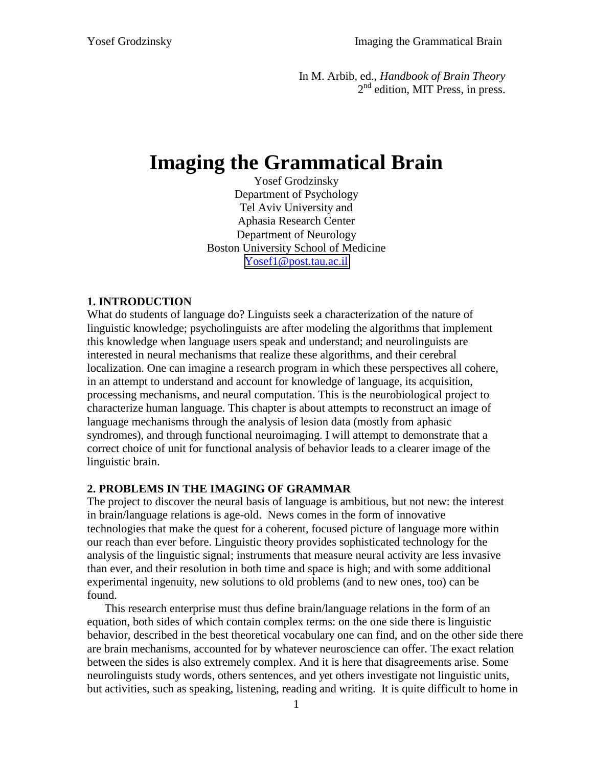In M. Arbib, ed., *Handbook of Brain Theory* 2<sup>nd</sup> edition, MIT Press, in press.

# **Imaging the Grammatical Brain**

Yosef Grodzinsky Department of Psychology Tel Aviv University and Aphasia Research Center Department of Neurology Boston University School of Medicine [Yosef1@post.tau.ac.il](mailto:Yosef1@post.tau.ac.il)

## **1. INTRODUCTION**

What do students of language do? Linguists seek a characterization of the nature of linguistic knowledge; psycholinguists are after modeling the algorithms that implement this knowledge when language users speak and understand; and neurolinguists are interested in neural mechanisms that realize these algorithms, and their cerebral localization. One can imagine a research program in which these perspectives all cohere, in an attempt to understand and account for knowledge of language, its acquisition, processing mechanisms, and neural computation. This is the neurobiological project to characterize human language. This chapter is about attempts to reconstruct an image of language mechanisms through the analysis of lesion data (mostly from aphasic syndromes), and through functional neuroimaging. I will attempt to demonstrate that a correct choice of unit for functional analysis of behavior leads to a clearer image of the linguistic brain.

### **2. PROBLEMS IN THE IMAGING OF GRAMMAR**

The project to discover the neural basis of language is ambitious, but not new: the interest in brain/language relations is age-old. News comes in the form of innovative technologies that make the quest for a coherent, focused picture of language more within our reach than ever before. Linguistic theory provides sophisticated technology for the analysis of the linguistic signal; instruments that measure neural activity are less invasive than ever, and their resolution in both time and space is high; and with some additional experimental ingenuity, new solutions to old problems (and to new ones, too) can be found.

This research enterprise must thus define brain/language relations in the form of an equation, both sides of which contain complex terms: on the one side there is linguistic behavior, described in the best theoretical vocabulary one can find, and on the other side there are brain mechanisms, accounted for by whatever neuroscience can offer. The exact relation between the sides is also extremely complex. And it is here that disagreements arise. Some neurolinguists study words, others sentences, and yet others investigate not linguistic units, but activities, such as speaking, listening, reading and writing. It is quite difficult to home in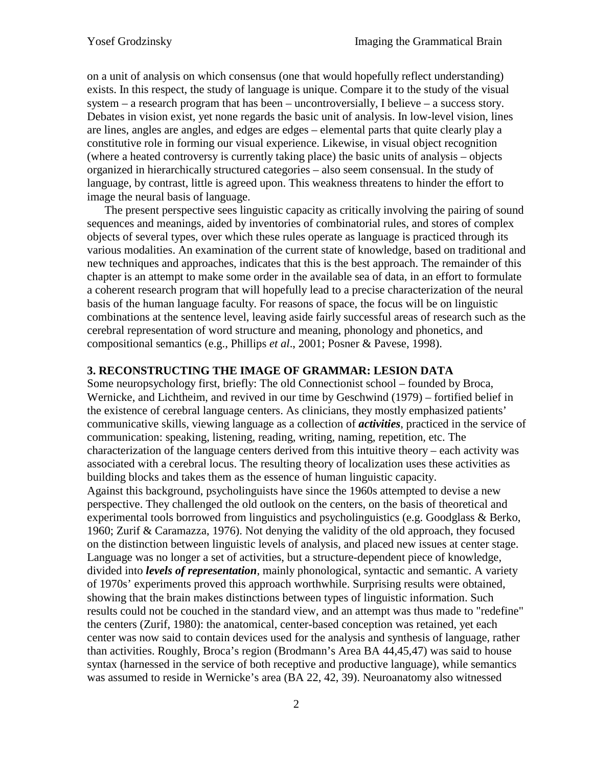on a unit of analysis on which consensus (one that would hopefully reflect understanding) exists. In this respect, the study of language is unique. Compare it to the study of the visual system – a research program that has been – uncontroversially, I believe – a success story. Debates in vision exist, yet none regards the basic unit of analysis. In low-level vision, lines are lines, angles are angles, and edges are edges – elemental parts that quite clearly play a constitutive role in forming our visual experience. Likewise, in visual object recognition (where a heated controversy is currently taking place) the basic units of analysis – objects organized in hierarchically structured categories – also seem consensual. In the study of language, by contrast, little is agreed upon. This weakness threatens to hinder the effort to image the neural basis of language.

The present perspective sees linguistic capacity as critically involving the pairing of sound sequences and meanings, aided by inventories of combinatorial rules, and stores of complex objects of several types, over which these rules operate as language is practiced through its various modalities. An examination of the current state of knowledge, based on traditional and new techniques and approaches, indicates that this is the best approach. The remainder of this chapter is an attempt to make some order in the available sea of data, in an effort to formulate a coherent research program that will hopefully lead to a precise characterization of the neural basis of the human language faculty. For reasons of space, the focus will be on linguistic combinations at the sentence level, leaving aside fairly successful areas of research such as the cerebral representation of word structure and meaning, phonology and phonetics, and compositional semantics (e.g., Phillips *et al*., 2001; Posner & Pavese, 1998).

## **3. RECONSTRUCTING THE IMAGE OF GRAMMAR: LESION DATA**

Some neuropsychology first, briefly: The old Connectionist school – founded by Broca, Wernicke, and Lichtheim, and revived in our time by Geschwind (1979) – fortified belief in the existence of cerebral language centers. As clinicians, they mostly emphasized patients' communicative skills, viewing language as a collection of *activities*, practiced in the service of communication: speaking, listening, reading, writing, naming, repetition, etc. The characterization of the language centers derived from this intuitive theory – each activity was associated with a cerebral locus. The resulting theory of localization uses these activities as building blocks and takes them as the essence of human linguistic capacity. Against this background, psycholinguists have since the 1960s attempted to devise a new perspective. They challenged the old outlook on the centers, on the basis of theoretical and experimental tools borrowed from linguistics and psycholinguistics (e.g. Goodglass & Berko, 1960; Zurif & Caramazza, 1976). Not denying the validity of the old approach, they focused on the distinction between linguistic levels of analysis, and placed new issues at center stage. Language was no longer a set of activities, but a structure-dependent piece of knowledge, divided into *levels of representation*, mainly phonological, syntactic and semantic. A variety of 1970s' experiments proved this approach worthwhile. Surprising results were obtained, showing that the brain makes distinctions between types of linguistic information. Such results could not be couched in the standard view, and an attempt was thus made to "redefine" the centers (Zurif, 1980): the anatomical, center-based conception was retained, yet each center was now said to contain devices used for the analysis and synthesis of language, rather than activities. Roughly, Broca's region (Brodmann's Area BA 44,45,47) was said to house syntax (harnessed in the service of both receptive and productive language), while semantics was assumed to reside in Wernicke's area (BA 22, 42, 39). Neuroanatomy also witnessed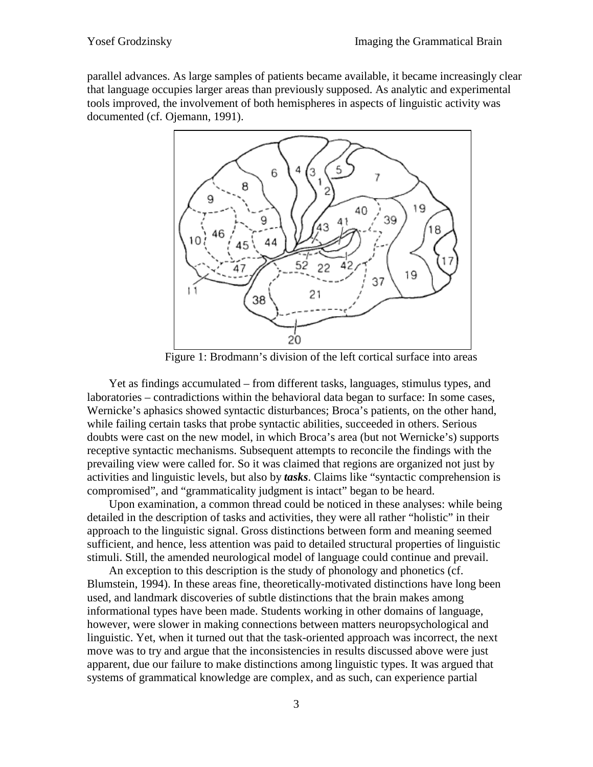parallel advances. As large samples of patients became available, it became increasingly clear that language occupies larger areas than previously supposed. As analytic and experimental tools improved, the involvement of both hemispheres in aspects of linguistic activity was documented (cf. Ojemann, 1991).



Figure 1: Brodmann's division of the left cortical surface into areas

Yet as findings accumulated – from different tasks, languages, stimulus types, and laboratories – contradictions within the behavioral data began to surface: In some cases, Wernicke's aphasics showed syntactic disturbances; Broca's patients, on the other hand, while failing certain tasks that probe syntactic abilities, succeeded in others. Serious doubts were cast on the new model, in which Broca's area (but not Wernicke's) supports receptive syntactic mechanisms. Subsequent attempts to reconcile the findings with the prevailing view were called for. So it was claimed that regions are organized not just by activities and linguistic levels, but also by *tasks*. Claims like "syntactic comprehension is compromised", and "grammaticality judgment is intact" began to be heard.

Upon examination, a common thread could be noticed in these analyses: while being detailed in the description of tasks and activities, they were all rather "holistic" in their approach to the linguistic signal. Gross distinctions between form and meaning seemed sufficient, and hence, less attention was paid to detailed structural properties of linguistic stimuli. Still, the amended neurological model of language could continue and prevail.

An exception to this description is the study of phonology and phonetics (cf. Blumstein, 1994). In these areas fine, theoretically-motivated distinctions have long been used, and landmark discoveries of subtle distinctions that the brain makes among informational types have been made. Students working in other domains of language, however, were slower in making connections between matters neuropsychological and linguistic. Yet, when it turned out that the task-oriented approach was incorrect, the next move was to try and argue that the inconsistencies in results discussed above were just apparent, due our failure to make distinctions among linguistic types. It was argued that systems of grammatical knowledge are complex, and as such, can experience partial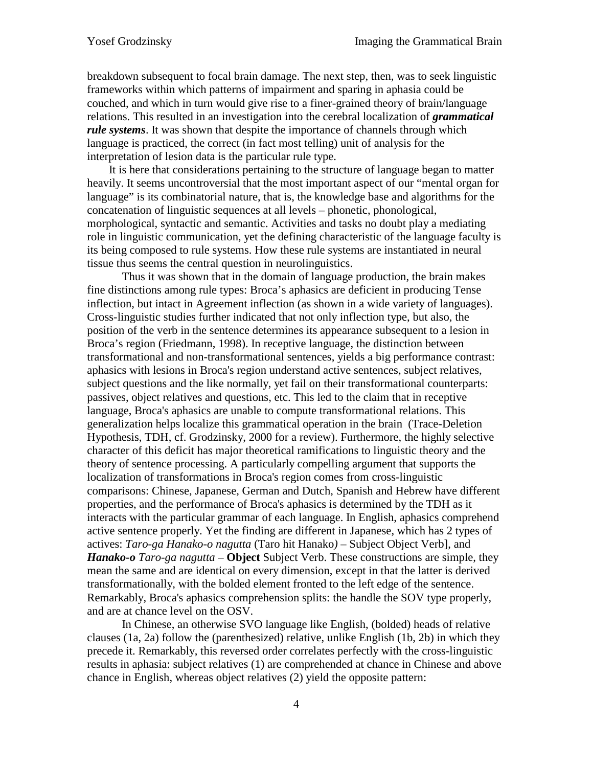breakdown subsequent to focal brain damage. The next step, then, was to seek linguistic frameworks within which patterns of impairment and sparing in aphasia could be couched, and which in turn would give rise to a finer-grained theory of brain/language relations. This resulted in an investigation into the cerebral localization of *grammatical rule systems*. It was shown that despite the importance of channels through which language is practiced, the correct (in fact most telling) unit of analysis for the interpretation of lesion data is the particular rule type.

It is here that considerations pertaining to the structure of language began to matter heavily. It seems uncontroversial that the most important aspect of our "mental organ for language" is its combinatorial nature, that is, the knowledge base and algorithms for the concatenation of linguistic sequences at all levels – phonetic, phonological, morphological, syntactic and semantic. Activities and tasks no doubt play a mediating role in linguistic communication, yet the defining characteristic of the language faculty is its being composed to rule systems. How these rule systems are instantiated in neural tissue thus seems the central question in neurolinguistics.

Thus it was shown that in the domain of language production, the brain makes fine distinctions among rule types: Broca's aphasics are deficient in producing Tense inflection, but intact in Agreement inflection (as shown in a wide variety of languages). Cross-linguistic studies further indicated that not only inflection type, but also, the position of the verb in the sentence determines its appearance subsequent to a lesion in Broca's region (Friedmann, 1998). In receptive language, the distinction between transformational and non-transformational sentences, yields a big performance contrast: aphasics with lesions in Broca's region understand active sentences, subject relatives, subject questions and the like normally, yet fail on their transformational counterparts: passives, object relatives and questions, etc. This led to the claim that in receptive language, Broca's aphasics are unable to compute transformational relations. This generalization helps localize this grammatical operation in the brain (Trace-Deletion Hypothesis, TDH, cf. Grodzinsky, 2000 for a review). Furthermore, the highly selective character of this deficit has major theoretical ramifications to linguistic theory and the theory of sentence processing. A particularly compelling argument that supports the localization of transformations in Broca's region comes from cross-linguistic comparisons: Chinese, Japanese, German and Dutch, Spanish and Hebrew have different properties, and the performance of Broca's aphasics is determined by the TDH as it interacts with the particular grammar of each language. In English, aphasics comprehend active sentence properly. Yet the finding are different in Japanese, which has 2 types of actives: *Taro-ga Hanako-o nagutta* (Taro hit Hanako*)* – Subject Object Verb], and *Hanako-o Taro-ga nagutta* – **Object** Subject Verb. These constructions are simple, they mean the same and are identical on every dimension, except in that the latter is derived transformationally, with the bolded element fronted to the left edge of the sentence. Remarkably, Broca's aphasics comprehension splits: the handle the SOV type properly, and are at chance level on the OSV.

In Chinese, an otherwise SVO language like English, (bolded) heads of relative clauses (1a, 2a) follow the (parenthesized) relative, unlike English (1b, 2b) in which they precede it. Remarkably, this reversed order correlates perfectly with the cross-linguistic results in aphasia: subject relatives (1) are comprehended at chance in Chinese and above chance in English, whereas object relatives (2) yield the opposite pattern: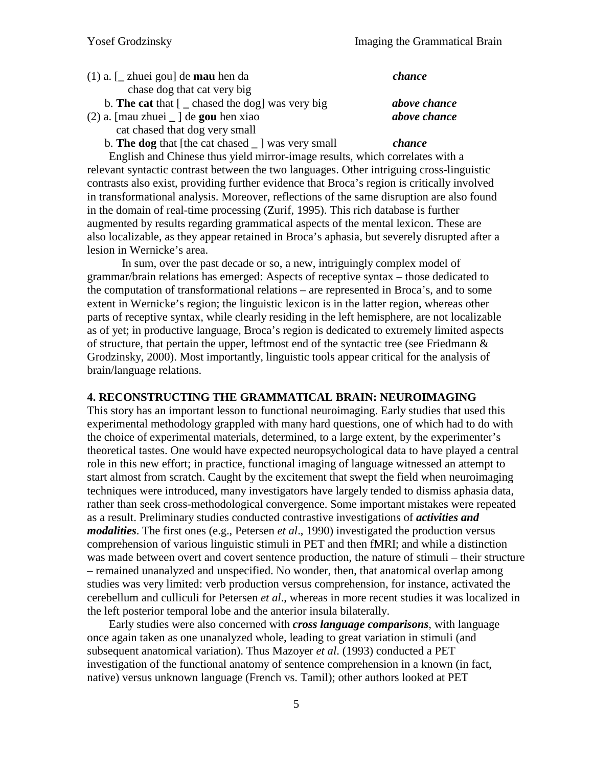| $(1)$ a. $\lbrack$ zhuei gou] de <b>mau</b> hen da                       | chance       |
|--------------------------------------------------------------------------|--------------|
| chase dog that cat very big                                              |              |
| b. The cat that $\lbrack \ \ \ \ \ \ \text{chased}$ the dog was very big | above chance |
| $(2)$ a. [mau zhuei $\Box$ ] de <b>gou</b> hen xiao                      | above chance |
| cat chased that dog very small                                           |              |
|                                                                          |              |

b. **The dog** that [the cat chased **\_** ] was very small *chance*

English and Chinese thus yield mirror-image results, which correlates with a relevant syntactic contrast between the two languages. Other intriguing cross-linguistic contrasts also exist, providing further evidence that Broca's region is critically involved in transformational analysis. Moreover, reflections of the same disruption are also found in the domain of real-time processing (Zurif, 1995). This rich database is further augmented by results regarding grammatical aspects of the mental lexicon. These are also localizable, as they appear retained in Broca's aphasia, but severely disrupted after a lesion in Wernicke's area.

 In sum, over the past decade or so, a new, intriguingly complex model of grammar/brain relations has emerged: Aspects of receptive syntax – those dedicated to the computation of transformational relations – are represented in Broca's, and to some extent in Wernicke's region; the linguistic lexicon is in the latter region, whereas other parts of receptive syntax, while clearly residing in the left hemisphere, are not localizable as of yet; in productive language, Broca's region is dedicated to extremely limited aspects of structure, that pertain the upper, leftmost end of the syntactic tree (see Friedmann & Grodzinsky, 2000). Most importantly, linguistic tools appear critical for the analysis of brain/language relations.

#### **4. RECONSTRUCTING THE GRAMMATICAL BRAIN: NEUROIMAGING**

This story has an important lesson to functional neuroimaging. Early studies that used this experimental methodology grappled with many hard questions, one of which had to do with the choice of experimental materials, determined, to a large extent, by the experimenter's theoretical tastes. One would have expected neuropsychological data to have played a central role in this new effort; in practice, functional imaging of language witnessed an attempt to start almost from scratch. Caught by the excitement that swept the field when neuroimaging techniques were introduced, many investigators have largely tended to dismiss aphasia data, rather than seek cross-methodological convergence. Some important mistakes were repeated as a result. Preliminary studies conducted contrastive investigations of *activities and modalities*. The first ones (e.g., Petersen *et al*., 1990) investigated the production versus comprehension of various linguistic stimuli in PET and then fMRI; and while a distinction was made between overt and covert sentence production, the nature of stimuli – their structure – remained unanalyzed and unspecified. No wonder, then, that anatomical overlap among studies was very limited: verb production versus comprehension, for instance, activated the cerebellum and culliculi for Petersen *et al*., whereas in more recent studies it was localized in the left posterior temporal lobe and the anterior insula bilaterally.

Early studies were also concerned with *cross language comparisons*, with language once again taken as one unanalyzed whole, leading to great variation in stimuli (and subsequent anatomical variation). Thus Mazoyer *et al*. (1993) conducted a PET investigation of the functional anatomy of sentence comprehension in a known (in fact, native) versus unknown language (French vs. Tamil); other authors looked at PET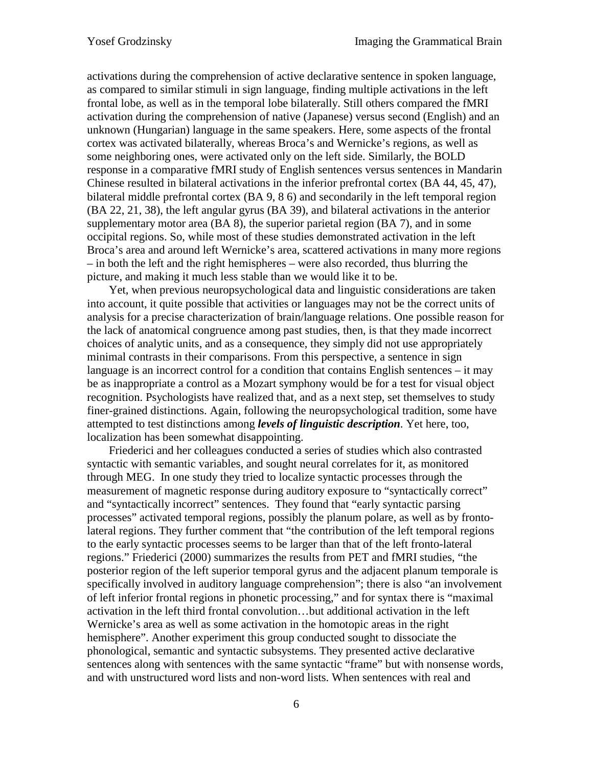activations during the comprehension of active declarative sentence in spoken language, as compared to similar stimuli in sign language, finding multiple activations in the left frontal lobe, as well as in the temporal lobe bilaterally. Still others compared the fMRI activation during the comprehension of native (Japanese) versus second (English) and an unknown (Hungarian) language in the same speakers. Here, some aspects of the frontal cortex was activated bilaterally, whereas Broca's and Wernicke's regions, as well as some neighboring ones, were activated only on the left side. Similarly, the BOLD response in a comparative fMRI study of English sentences versus sentences in Mandarin Chinese resulted in bilateral activations in the inferior prefrontal cortex (BA 44, 45, 47), bilateral middle prefrontal cortex (BA 9, 8 6) and secondarily in the left temporal region (BA 22, 21, 38), the left angular gyrus (BA 39), and bilateral activations in the anterior supplementary motor area (BA 8), the superior parietal region (BA 7), and in some occipital regions. So, while most of these studies demonstrated activation in the left Broca's area and around left Wernicke's area, scattered activations in many more regions – in both the left and the right hemispheres – were also recorded, thus blurring the picture, and making it much less stable than we would like it to be.

Yet, when previous neuropsychological data and linguistic considerations are taken into account, it quite possible that activities or languages may not be the correct units of analysis for a precise characterization of brain/language relations. One possible reason for the lack of anatomical congruence among past studies, then, is that they made incorrect choices of analytic units, and as a consequence, they simply did not use appropriately minimal contrasts in their comparisons. From this perspective, a sentence in sign language is an incorrect control for a condition that contains English sentences – it may be as inappropriate a control as a Mozart symphony would be for a test for visual object recognition. Psychologists have realized that, and as a next step, set themselves to study finer-grained distinctions. Again, following the neuropsychological tradition, some have attempted to test distinctions among *levels of linguistic description*. Yet here, too, localization has been somewhat disappointing.

Friederici and her colleagues conducted a series of studies which also contrasted syntactic with semantic variables, and sought neural correlates for it, as monitored through MEG. In one study they tried to localize syntactic processes through the measurement of magnetic response during auditory exposure to "syntactically correct" and "syntactically incorrect" sentences. They found that "early syntactic parsing processes" activated temporal regions, possibly the planum polare, as well as by frontolateral regions. They further comment that "the contribution of the left temporal regions to the early syntactic processes seems to be larger than that of the left fronto-lateral regions." Friederici (2000) summarizes the results from PET and fMRI studies, "the posterior region of the left superior temporal gyrus and the adjacent planum temporale is specifically involved in auditory language comprehension"; there is also "an involvement of left inferior frontal regions in phonetic processing," and for syntax there is "maximal activation in the left third frontal convolution…but additional activation in the left Wernicke's area as well as some activation in the homotopic areas in the right hemisphere". Another experiment this group conducted sought to dissociate the phonological, semantic and syntactic subsystems. They presented active declarative sentences along with sentences with the same syntactic "frame" but with nonsense words, and with unstructured word lists and non-word lists. When sentences with real and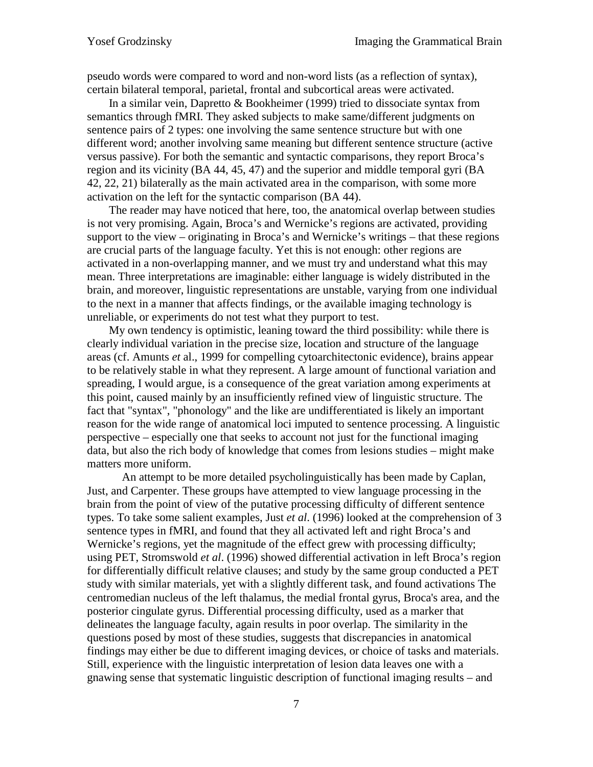pseudo words were compared to word and non-word lists (as a reflection of syntax), certain bilateral temporal, parietal, frontal and subcortical areas were activated.

In a similar vein, Dapretto & Bookheimer (1999) tried to dissociate syntax from semantics through fMRI. They asked subjects to make same/different judgments on sentence pairs of 2 types: one involving the same sentence structure but with one different word; another involving same meaning but different sentence structure (active versus passive). For both the semantic and syntactic comparisons, they report Broca's region and its vicinity (BA 44, 45, 47) and the superior and middle temporal gyri (BA 42, 22, 21) bilaterally as the main activated area in the comparison, with some more activation on the left for the syntactic comparison (BA 44).

The reader may have noticed that here, too, the anatomical overlap between studies is not very promising. Again, Broca's and Wernicke's regions are activated, providing support to the view – originating in Broca's and Wernicke's writings – that these regions are crucial parts of the language faculty. Yet this is not enough: other regions are activated in a non-overlapping manner, and we must try and understand what this may mean. Three interpretations are imaginable: either language is widely distributed in the brain, and moreover, linguistic representations are unstable, varying from one individual to the next in a manner that affects findings, or the available imaging technology is unreliable, or experiments do not test what they purport to test.

My own tendency is optimistic, leaning toward the third possibility: while there is clearly individual variation in the precise size, location and structure of the language areas (cf. Amunts *et* al., 1999 for compelling cytoarchitectonic evidence), brains appear to be relatively stable in what they represent. A large amount of functional variation and spreading, I would argue, is a consequence of the great variation among experiments at this point, caused mainly by an insufficiently refined view of linguistic structure. The fact that "syntax", "phonology" and the like are undifferentiated is likely an important reason for the wide range of anatomical loci imputed to sentence processing. A linguistic perspective – especially one that seeks to account not just for the functional imaging data, but also the rich body of knowledge that comes from lesions studies – might make matters more uniform.

An attempt to be more detailed psycholinguistically has been made by Caplan, Just, and Carpenter. These groups have attempted to view language processing in the brain from the point of view of the putative processing difficulty of different sentence types. To take some salient examples, Just *et al*. (1996) looked at the comprehension of 3 sentence types in fMRI, and found that they all activated left and right Broca's and Wernicke's regions, yet the magnitude of the effect grew with processing difficulty; using PET, Stromswold *et al*. (1996) showed differential activation in left Broca's region for differentially difficult relative clauses; and study by the same group conducted a PET study with similar materials, yet with a slightly different task, and found activations The centromedian nucleus of the left thalamus, the medial frontal gyrus, Broca's area, and the posterior cingulate gyrus. Differential processing difficulty, used as a marker that delineates the language faculty, again results in poor overlap. The similarity in the questions posed by most of these studies, suggests that discrepancies in anatomical findings may either be due to different imaging devices, or choice of tasks and materials. Still, experience with the linguistic interpretation of lesion data leaves one with a gnawing sense that systematic linguistic description of functional imaging results – and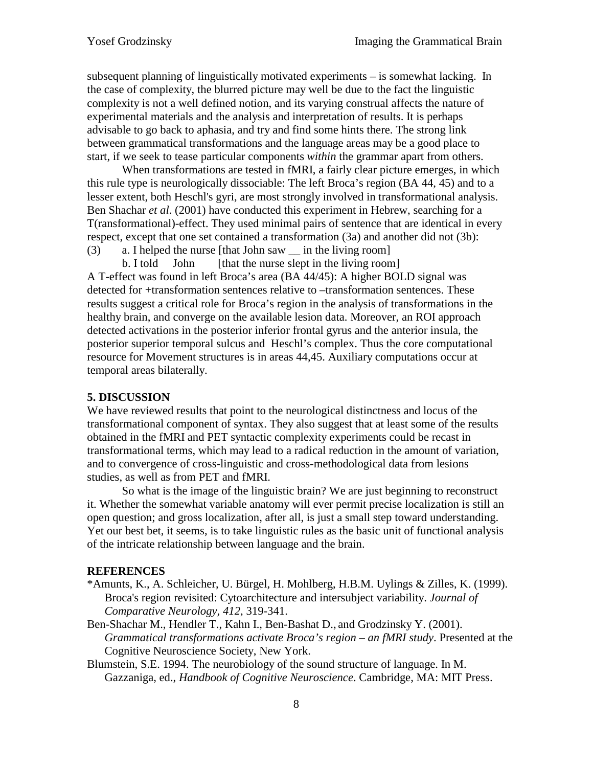subsequent planning of linguistically motivated experiments – is somewhat lacking. In the case of complexity, the blurred picture may well be due to the fact the linguistic complexity is not a well defined notion, and its varying construal affects the nature of experimental materials and the analysis and interpretation of results. It is perhaps advisable to go back to aphasia, and try and find some hints there. The strong link between grammatical transformations and the language areas may be a good place to start, if we seek to tease particular components *within* the grammar apart from others.

When transformations are tested in fMRI, a fairly clear picture emerges, in which this rule type is neurologically dissociable: The left Broca's region (BA 44, 45) and to a lesser extent, both Heschl's gyri, are most strongly involved in transformational analysis. Ben Shachar *et al*. (2001) have conducted this experiment in Hebrew, searching for a T(ransformational)-effect. They used minimal pairs of sentence that are identical in every respect, except that one set contained a transformation (3a) and another did not (3b): (3) a. I helped the nurse [that John saw \_\_ in the living room]

b. I told John [that the nurse slept in the living room] A T-effect was found in left Broca's area (BA 44/45): A higher BOLD signal was detected for +transformation sentences relative to –transformation sentences. These results suggest a critical role for Broca's region in the analysis of transformations in the healthy brain, and converge on the available lesion data. Moreover, an ROI approach detected activations in the posterior inferior frontal gyrus and the anterior insula, the posterior superior temporal sulcus and Heschl's complex. Thus the core computational resource for Movement structures is in areas 44,45. Auxiliary computations occur at temporal areas bilaterally.

#### **5. DISCUSSION**

We have reviewed results that point to the neurological distinctness and locus of the transformational component of syntax. They also suggest that at least some of the results obtained in the fMRI and PET syntactic complexity experiments could be recast in transformational terms, which may lead to a radical reduction in the amount of variation, and to convergence of cross-linguistic and cross-methodological data from lesions studies, as well as from PET and fMRI.

So what is the image of the linguistic brain? We are just beginning to reconstruct it. Whether the somewhat variable anatomy will ever permit precise localization is still an open question; and gross localization, after all, is just a small step toward understanding. Yet our best bet, it seems, is to take linguistic rules as the basic unit of functional analysis of the intricate relationship between language and the brain.

## **REFERENCES**

\*Amunts, K., A. Schleicher, U. Bürgel, H. Mohlberg, H.B.M. Uylings & Zilles, K. (1999). Broca's region revisited: Cytoarchitecture and intersubject variability. *Journal of Comparative Neurology, 412*, 319-341.

Ben-Shachar M., Hendler T., Kahn I., Ben-Bashat D., and Grodzinsky Y. (2001). *Grammatical transformations activate Broca's region – an fMRI study*. Presented at the Cognitive Neuroscience Society, New York.

Blumstein, S.E. 1994. The neurobiology of the sound structure of language. In M. Gazzaniga, ed., *Handbook of Cognitive Neuroscience*. Cambridge, MA: MIT Press.